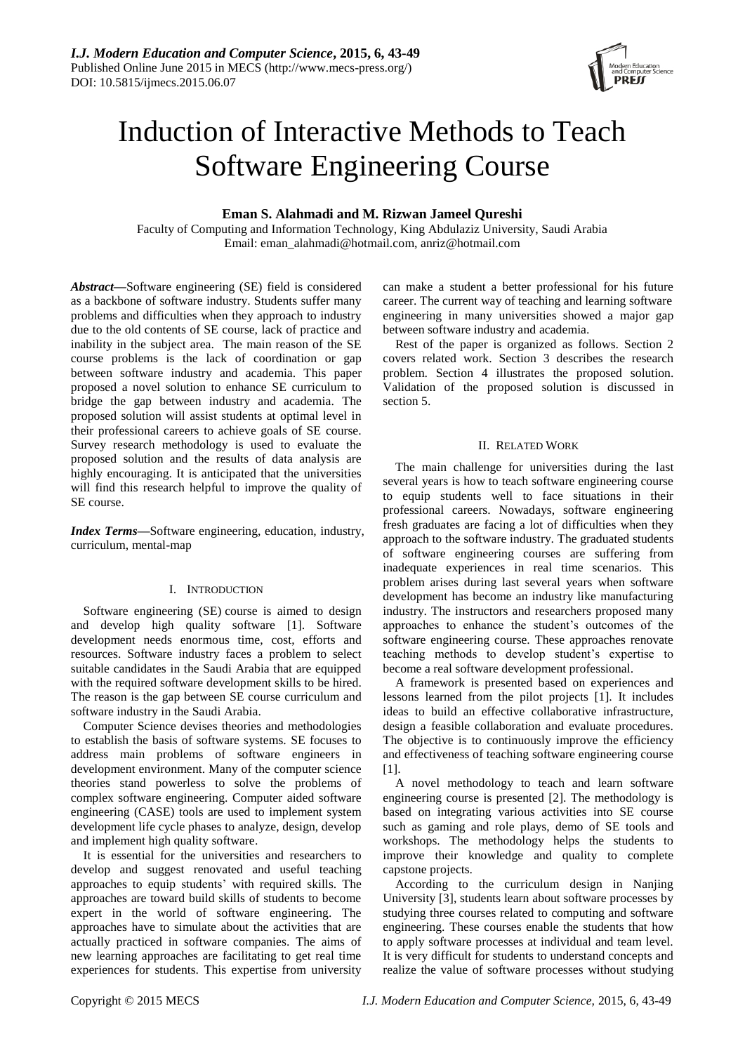

# Induction of Interactive Methods to Teach Software Engineering Course

# **Eman S. Alahmadi and M. Rizwan Jameel Qureshi**

Faculty of Computing and Information Technology, King Abdulaziz University, Saudi Arabia Email: eman\_alahmadi@hotmail.com, anriz@hotmail.com

*Abstract***—**Software engineering (SE) field is considered as a backbone of software industry. Students suffer many problems and difficulties when they approach to industry due to the old contents of SE course, lack of practice and inability in the subject area. The main reason of the SE course problems is the lack of coordination or gap between software industry and academia. This paper proposed a novel solution to enhance SE curriculum to bridge the gap between industry and academia. The proposed solution will assist students at optimal level in their professional careers to achieve goals of SE course. Survey research methodology is used to evaluate the proposed solution and the results of data analysis are highly encouraging. It is anticipated that the universities will find this research helpful to improve the quality of SE course.

*Index Terms—*Software engineering, education, industry, curriculum, mental-map

# I. INTRODUCTION

Software engineering (SE) course is aimed to design and develop high quality software [1]. Software development needs enormous time, cost, efforts and resources. Software industry faces a problem to select suitable candidates in the Saudi Arabia that are equipped with the required software development skills to be hired. The reason is the gap between SE course curriculum and software industry in the Saudi Arabia.

Computer Science devises theories and methodologies to establish the basis of software systems. SE focuses to address main problems of software engineers in development environment. Many of the computer science theories stand powerless to solve the problems of complex software engineering. Computer aided software engineering (CASE) tools are used to implement system development life cycle phases to analyze, design, develop and implement high quality software.

It is essential for the universities and researchers to develop and suggest renovated and useful teaching approaches to equip students' with required skills. The approaches are toward build skills of students to become expert in the world of software engineering. The approaches have to simulate about the activities that are actually practiced in software companies. The aims of new learning approaches are facilitating to get real time experiences for students. This expertise from university

can make a student a better professional for his future career. The current way of teaching and learning software engineering in many universities showed a major gap between software industry and academia.

Rest of the paper is organized as follows. Section 2 covers related work. Section 3 describes the research problem. Section 4 illustrates the proposed solution. Validation of the proposed solution is discussed in section 5.

## II. RELATED WORK

The main challenge for universities during the last several years is how to teach software engineering course to equip students well to face situations in their professional careers. Nowadays, software engineering fresh graduates are facing a lot of difficulties when they approach to the software industry. The graduated students of software engineering courses are suffering from inadequate experiences in real time scenarios. This problem arises during last several years when software development has become an industry like manufacturing industry. The instructors and researchers proposed many approaches to enhance the student's outcomes of the software engineering course. These approaches renovate teaching methods to develop student's expertise to become a real software development professional.

A framework is presented based on experiences and lessons learned from the pilot projects [1]. It includes ideas to build an effective collaborative infrastructure, design a feasible collaboration and evaluate procedures. The objective is to continuously improve the efficiency and effectiveness of teaching software engineering course [1].

A novel methodology to teach and learn software engineering course is presented [2]. The methodology is based on integrating various activities into SE course such as gaming and role plays, demo of SE tools and workshops. The methodology helps the students to improve their knowledge and quality to complete capstone projects.

According to the curriculum design in Nanjing University [3], students learn about software processes by studying three courses related to computing and software engineering. These courses enable the students that how to apply software processes at individual and team level. It is very difficult for students to understand concepts and realize the value of software processes without studying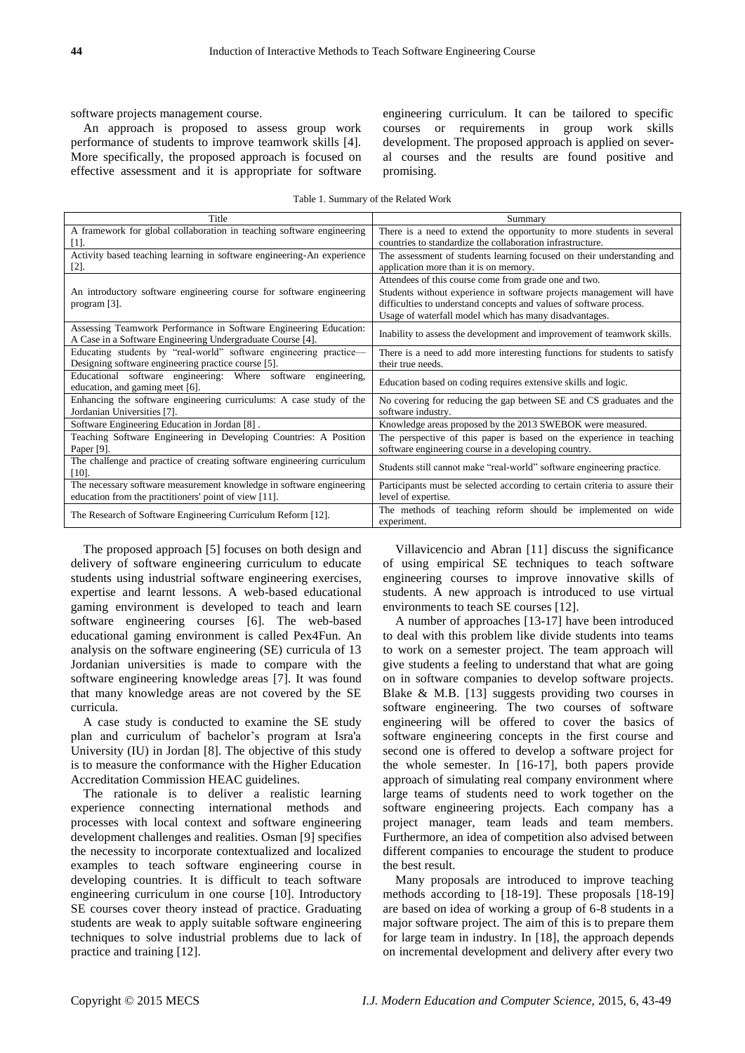software projects management course.

An approach is proposed to assess group work performance of students to improve teamwork skills [4]. More specifically, the proposed approach is focused on effective assessment and it is appropriate for software engineering curriculum. It can be tailored to specific courses or requirements in group work skills development. The proposed approach is applied on several courses and the results are found positive and promising.

| Table 1. Summary of the Related Work |  |  |  |
|--------------------------------------|--|--|--|
|--------------------------------------|--|--|--|

| Title                                                                                                                           | Summary                                                                                                                                                                                                                                                         |
|---------------------------------------------------------------------------------------------------------------------------------|-----------------------------------------------------------------------------------------------------------------------------------------------------------------------------------------------------------------------------------------------------------------|
| A framework for global collaboration in teaching software engineering<br>$[1]$ .                                                | There is a need to extend the opportunity to more students in several<br>countries to standardize the collaboration infrastructure.                                                                                                                             |
| Activity based teaching learning in software engineering-An experience<br>$[2]$ .                                               | The assessment of students learning focused on their understanding and<br>application more than it is on memory.                                                                                                                                                |
| An introductory software engineering course for software engineering<br>program $[3]$ .                                         | Attendees of this course come from grade one and two.<br>Students without experience in software projects management will have<br>difficulties to understand concepts and values of software process.<br>Usage of waterfall model which has many disadvantages. |
| Assessing Teamwork Performance in Software Engineering Education:<br>A Case in a Software Engineering Undergraduate Course [4]. | Inability to assess the development and improvement of teamwork skills.                                                                                                                                                                                         |
| Educating students by "real-world" software engineering practice-<br>Designing software engineering practice course [5].        | There is a need to add more interesting functions for students to satisfy<br>their true needs.                                                                                                                                                                  |
| Educational software engineering: Where software<br>engineering.<br>education, and gaming meet [6].                             | Education based on coding requires extensive skills and logic.                                                                                                                                                                                                  |
| Enhancing the software engineering curriculums: A case study of the<br>Jordanian Universities [7].                              | No covering for reducing the gap between SE and CS graduates and the<br>software industry.                                                                                                                                                                      |
| Software Engineering Education in Jordan [8].                                                                                   | Knowledge areas proposed by the 2013 SWEBOK were measured.                                                                                                                                                                                                      |
| Teaching Software Engineering in Developing Countries: A Position<br>Paper $[9]$ .                                              | The perspective of this paper is based on the experience in teaching<br>software engineering course in a developing country.                                                                                                                                    |
| The challenge and practice of creating software engineering curriculum<br>$[10]$ .                                              | Students still cannot make "real-world" software engineering practice.                                                                                                                                                                                          |
| The necessary software measurement knowledge in software engineering<br>education from the practitioners' point of view [11].   | Participants must be selected according to certain criteria to assure their<br>level of expertise.                                                                                                                                                              |
| The Research of Software Engineering Curriculum Reform [12].                                                                    | The methods of teaching reform should be implemented on wide<br>experiment.                                                                                                                                                                                     |

The proposed approach [5] focuses on both design and delivery of software engineering curriculum to educate students using industrial software engineering exercises, expertise and learnt lessons. A web-based educational gaming environment is developed to teach and learn software engineering courses [6]. The web-based educational gaming environment is called Pex4Fun. An analysis on the software engineering (SE) curricula of 13 Jordanian universities is made to compare with the software engineering knowledge areas [7]. It was found that many knowledge areas are not covered by the SE curricula.

A case study is conducted to examine the SE study plan and curriculum of bachelor's program at Isra'a University (IU) in Jordan [8]. The objective of this study is to measure the conformance with the Higher Education Accreditation Commission HEAC guidelines.

The rationale is to deliver a realistic learning experience connecting international methods and processes with local context and software engineering development challenges and realities. Osman [9] specifies the necessity to incorporate contextualized and localized examples to teach software engineering course in developing countries. It is difficult to teach software engineering curriculum in one course [10]. Introductory SE courses cover theory instead of practice. Graduating students are weak to apply suitable software engineering techniques to solve industrial problems due to lack of practice and training [12].

Villavicencio and Abran [11] discuss the significance of using empirical SE techniques to teach software engineering courses to improve innovative skills of students. A new approach is introduced to use virtual environments to teach SE courses [12].

A number of approaches [13-17] have been introduced to deal with this problem like divide students into teams to work on a semester project. The team approach will give students a feeling to understand that what are going on in software companies to develop software projects. Blake & M.B. [13] suggests providing two courses in software engineering. The two courses of software engineering will be offered to cover the basics of software engineering concepts in the first course and second one is offered to develop a software project for the whole semester. In [16-17], both papers provide approach of simulating real company environment where large teams of students need to work together on the software engineering projects. Each company has a project manager, team leads and team members. Furthermore, an idea of competition also advised between different companies to encourage the student to produce the best result.

Many proposals are introduced to improve teaching methods according to [18-19]. These proposals [18-19] are based on idea of working a group of 6-8 students in a major software project. The aim of this is to prepare them for large team in industry. In [18], the approach depends on incremental development and delivery after every two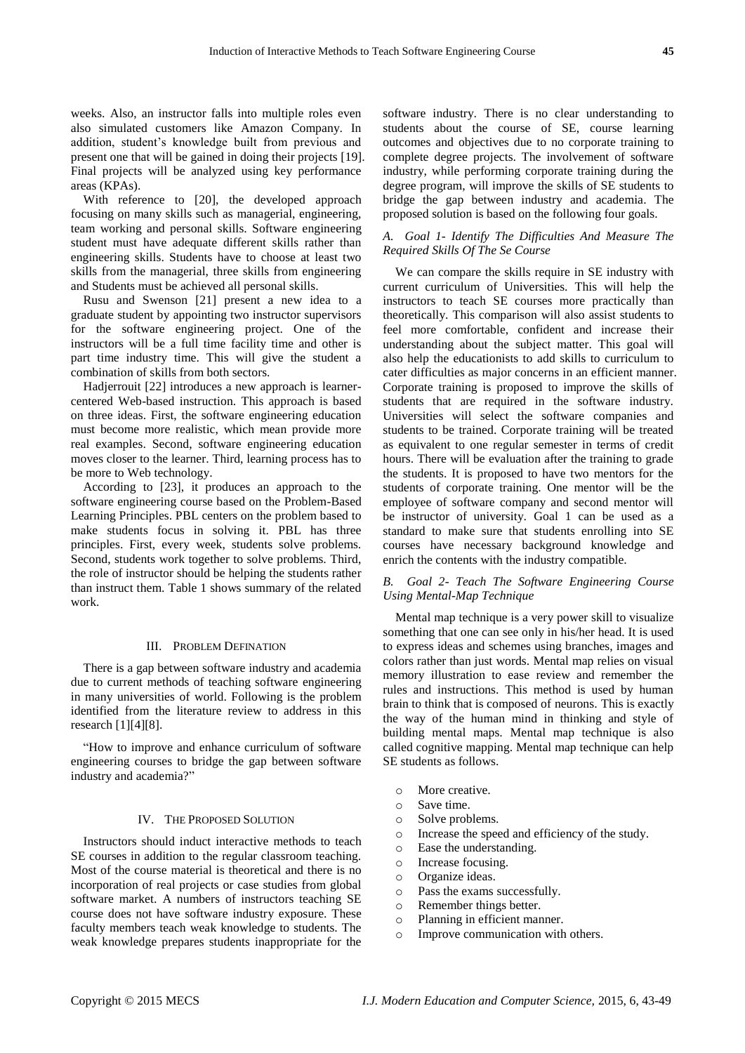weeks. Also, an instructor falls into multiple roles even also simulated customers like Amazon Company. In addition, student's knowledge built from previous and present one that will be gained in doing their projects [19]. Final projects will be analyzed using key performance areas (KPAs).

With reference to [20], the developed approach focusing on many skills such as managerial, engineering, team working and personal skills. Software engineering student must have adequate different skills rather than engineering skills. Students have to choose at least two skills from the managerial, three skills from engineering and Students must be achieved all personal skills.

Rusu and Swenson [21] present a new idea to a graduate student by appointing two instructor supervisors for the software engineering project. One of the instructors will be a full time facility time and other is part time industry time. This will give the student a combination of skills from both sectors.

Hadjerrouit [22] introduces a new approach is learnercentered Web-based instruction. This approach is based on three ideas. First, the software engineering education must become more realistic, which mean provide more real examples. Second, software engineering education moves closer to the learner. Third, learning process has to be more to Web technology.

According to [23], it produces an approach to the software engineering course based on the Problem-Based Learning Principles. PBL centers on the problem based to make students focus in solving it. PBL has three principles. First, every week, students solve problems. Second, students work together to solve problems. Third, the role of instructor should be helping the students rather than instruct them. Table 1 shows summary of the related work.

#### III. PROBLEM DEFINATION

There is a gap between software industry and academia due to current methods of teaching software engineering in many universities of world. Following is the problem identified from the literature review to address in this research [1][4][8].

"How to improve and enhance curriculum of software" engineering courses to bridge the gap between software industry and academia?"

#### IV. THE PROPOSED SOLUTION

Instructors should induct interactive methods to teach SE courses in addition to the regular classroom teaching. Most of the course material is theoretical and there is no incorporation of real projects or case studies from global software market. A numbers of instructors teaching SE course does not have software industry exposure. These faculty members teach weak knowledge to students. The weak knowledge prepares students inappropriate for the

software industry. There is no clear understanding to students about the course of SE, course learning outcomes and objectives due to no corporate training to complete degree projects. The involvement of software industry, while performing corporate training during the degree program, will improve the skills of SE students to bridge the gap between industry and academia. The proposed solution is based on the following four goals.

#### *A. Goal 1- Identify The Difficulties And Measure The Required Skills Of The Se Course*

We can compare the skills require in SE industry with current curriculum of Universities. This will help the instructors to teach SE courses more practically than theoretically. This comparison will also assist students to feel more comfortable, confident and increase their understanding about the subject matter. This goal will also help the educationists to add skills to curriculum to cater difficulties as major concerns in an efficient manner. Corporate training is proposed to improve the skills of students that are required in the software industry. Universities will select the software companies and students to be trained. Corporate training will be treated as equivalent to one regular semester in terms of credit hours. There will be evaluation after the training to grade the students. It is proposed to have two mentors for the students of corporate training. One mentor will be the employee of software company and second mentor will be instructor of university. Goal 1 can be used as a standard to make sure that students enrolling into SE courses have necessary background knowledge and enrich the contents with the industry compatible.

## *B. Goal 2- Teach The Software Engineering Course Using Mental-Map Technique*

Mental map technique is a very power skill to visualize something that one can see only in his/her head. It is used to express ideas and schemes using branches, images and colors rather than just words. Mental map relies on visual memory illustration to ease review and remember the rules and instructions. This method is used by human brain to think that is composed of neurons. This is exactly the way of the human mind in thinking and style of building mental maps. Mental map technique is also called cognitive mapping. Mental map technique can help SE students as follows.

- o More creative.
- o Save time.
- o Solve problems.
- o Increase the speed and efficiency of the study.
- o Ease the understanding.
- o Increase focusing.
- o Organize ideas.
- o Pass the exams successfully.
- o Remember things better.
- o Planning in efficient manner.
- o Improve communication with others.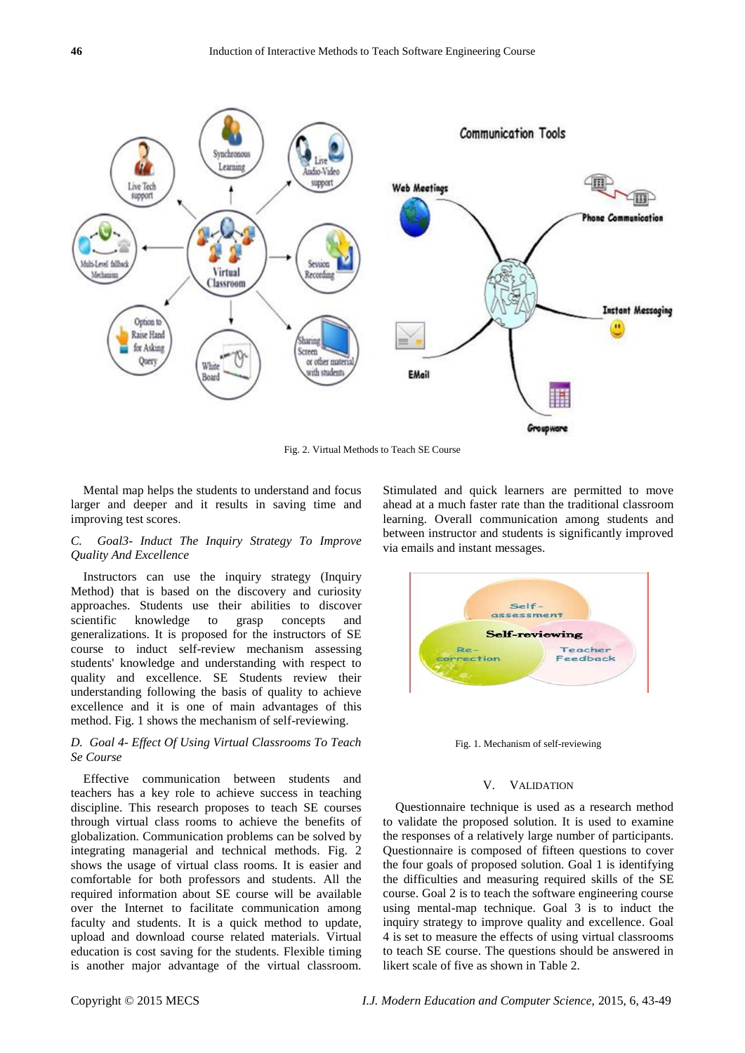

Fig. 2. Virtual Methods to Teach SE Course

Mental map helps the students to understand and focus larger and deeper and it results in saving time and improving test scores.

## *C. Goal3- Induct The Inquiry Strategy To Improve Quality And Excellence*

Instructors can use the inquiry strategy (Inquiry Method) that is based on the discovery and curiosity approaches. Students use their abilities to discover scientific knowledge to grasp concepts and generalizations. It is proposed for the instructors of SE course to induct self-review mechanism assessing students' knowledge and understanding with respect to quality and excellence. SE Students review their understanding following the basis of quality to achieve excellence and it is one of main advantages of this method. Fig. 1 shows the mechanism of self-reviewing.

#### *D. Goal 4- Effect Of Using Virtual Classrooms To Teach Se Course*

Effective communication between students and teachers has a key role to achieve success in teaching discipline. This research proposes to teach SE courses through virtual class rooms to achieve the benefits of globalization. Communication problems can be solved by integrating managerial and technical methods. Fig. 2 shows the usage of virtual class rooms. It is easier and comfortable for both professors and students. All the required information about SE course will be available over the Internet to facilitate communication among faculty and students. It is a quick method to update, upload and download course related materials. Virtual education is cost saving for the students. Flexible timing is another major advantage of the virtual classroom.

Stimulated and quick learners are permitted to move ahead at a much faster rate than the traditional classroom learning. Overall communication among students and between instructor and students is significantly improved via emails and instant messages.



Fig. 1. Mechanism of self-reviewing

#### V. VALIDATION

Questionnaire technique is used as a research method to validate the proposed solution. It is used to examine the responses of a relatively large number of participants. Questionnaire is composed of fifteen questions to cover the four goals of proposed solution. Goal 1 is identifying the difficulties and measuring required skills of the SE course. Goal 2 is to teach the software engineering course using mental-map technique. Goal 3 is to induct the inquiry strategy to improve quality and excellence. Goal 4 is set to measure the effects of using virtual classrooms to teach SE course. The questions should be answered in likert scale of five as shown in Table 2.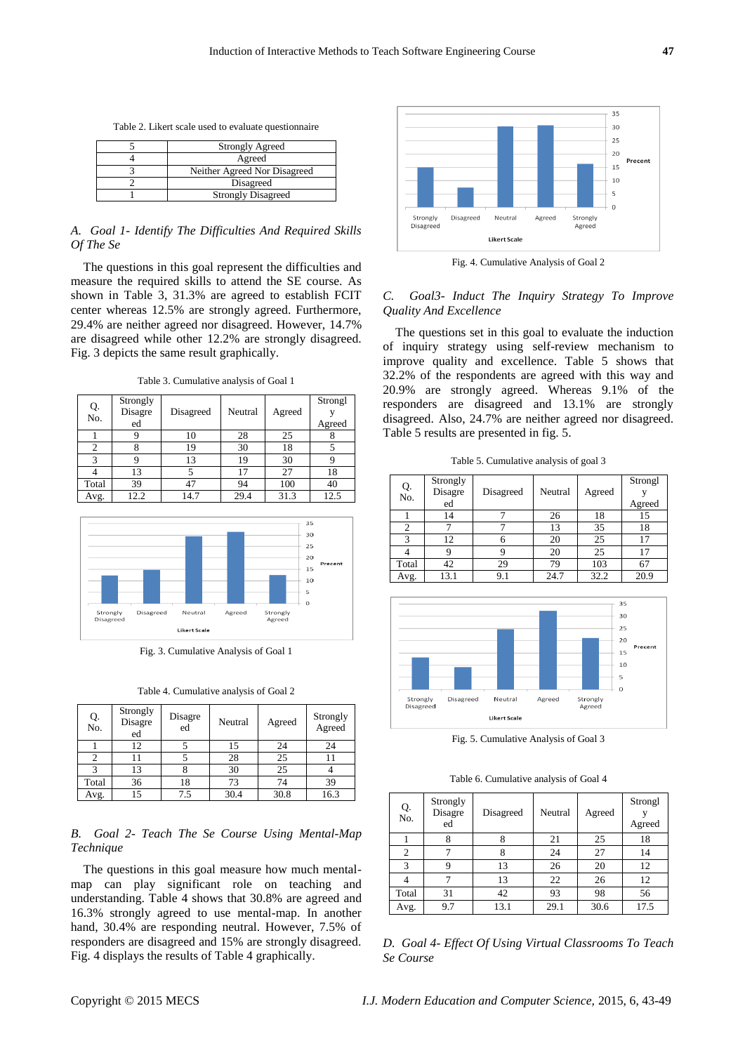Table 2. Likert scale used to evaluate questionnaire

| <b>Strongly Agreed</b>       |
|------------------------------|
| Agreed                       |
| Neither Agreed Nor Disagreed |
| Disagreed                    |
| <b>Strongly Disagreed</b>    |

## *A. Goal 1- Identify The Difficulties And Required Skills Of The Se*

The questions in this goal represent the difficulties and measure the required skills to attend the SE course. As shown in Table 3, 31.3% are agreed to establish FCIT center whereas 12.5% are strongly agreed. Furthermore, 29.4% are neither agreed nor disagreed. However, 14.7% are disagreed while other 12.2% are strongly disagreed. Fig. 3 depicts the same result graphically.

Table 3. Cumulative analysis of Goal 1

| Q.<br>No. | Strongly<br>Disagre | Disagreed | Neutral | Agreed | Strongl |
|-----------|---------------------|-----------|---------|--------|---------|
|           | ed                  |           |         |        | Agreed  |
|           |                     | 10        | 28      | 25     |         |
| 2         |                     | 19        | 30      | 18     |         |
| 3         |                     | 13        | 19      | 30     |         |
|           | 13                  |           | 17      | 27     | 18      |
| Total     | 39                  | 47        | 94      | 100    | 40      |
| Avg.      | 12.2                | 14.7      | 29.4    | 31.3   | 12.5    |



Fig. 3. Cumulative Analysis of Goal 1

Table 4. Cumulative analysis of Goal 2

| Q.<br>No. | Strongly<br>Disagre<br>ed | Disagre<br>ed | Neutral | Agreed | Strongly<br>Agreed |
|-----------|---------------------------|---------------|---------|--------|--------------------|
|           | 12                        |               | 15      | 24     | 24                 |
|           | 11                        |               | 28      | 25     |                    |
|           | 13                        |               | 30      | 25     |                    |
| Total     | 36                        | 18            | 73      | 74     | 39                 |
| Avg.      | 15                        | 7.5           | 30.4    | 30.8   | 16.3               |

## *B. Goal 2- Teach The Se Course Using Mental-Map Technique*

The questions in this goal measure how much mentalmap can play significant role on teaching and understanding. Table 4 shows that 30.8% are agreed and 16.3% strongly agreed to use mental-map. In another hand, 30.4% are responding neutral. However, 7.5% of responders are disagreed and 15% are strongly disagreed. Fig. 4 displays the results of Table 4 graphically.



Fig. 4. Cumulative Analysis of Goal 2

# *C. Goal3- Induct The Inquiry Strategy To Improve Quality And Excellence*

The questions set in this goal to evaluate the induction of inquiry strategy using self-review mechanism to improve quality and excellence. Table 5 shows that 32.2% of the respondents are agreed with this way and 20.9% are strongly agreed. Whereas 9.1% of the responders are disagreed and 13.1% are strongly disagreed. Also, 24.7% are neither agreed nor disagreed. Table 5 results are presented in fig. 5.

| Q.    | Strongly |           |         |        | Strongl |
|-------|----------|-----------|---------|--------|---------|
| No.   | Disagre  | Disagreed | Neutral | Agreed |         |
|       | ed       |           |         |        | Agreed  |
|       | 14       |           | 26      | 18     | 15      |
|       |          |           | 13      | 35     | 18      |
|       | 12       | 6         | 20      | 25     | 17      |
|       |          |           | 20      | 25     | 17      |
| Total | 42       | 29        | 79      | 103    | 67      |
| Avg.  | 13.1     | 9.1       | 24.7    | 32.2   | 20.9    |



Fig. 5. Cumulative Analysis of Goal 3

Table 6. Cumulative analysis of Goal 4

| Q.<br>No. | Strongly<br>Disagre<br>ed | Disagreed | Neutral | Agreed | Strongl<br>Agreed |
|-----------|---------------------------|-----------|---------|--------|-------------------|
|           |                           |           | 21      | 25     | 18                |
| 2         |                           |           | 24      | 27     | 14                |
| 3         | 9                         | 13        | 26      | 20     | 12                |
|           |                           | 13        | 22      | 26     | 12                |
| Total     | 31                        | 42        | 93      | 98     | 56                |
| Avg.      | 9.7                       | 13.1      | 29.1    | 30.6   | 17.5              |

*D. Goal 4- Effect Of Using Virtual Classrooms To Teach Se Course*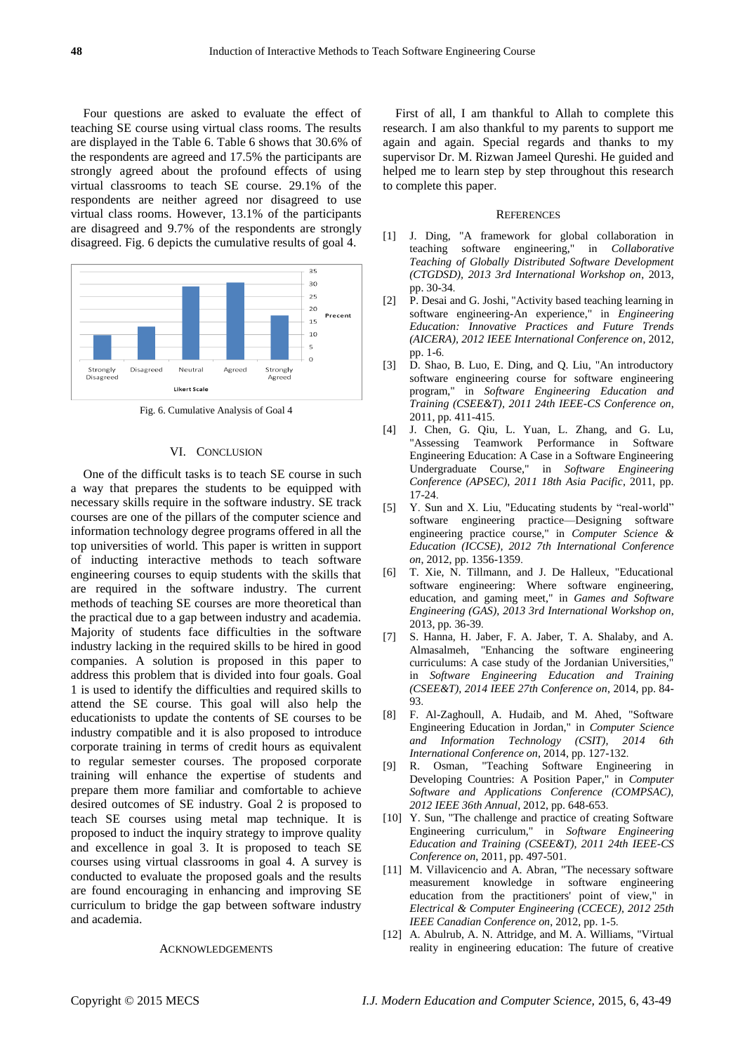Four questions are asked to evaluate the effect of teaching SE course using virtual class rooms. The results are displayed in the Table 6. Table 6 shows that 30.6% of the respondents are agreed and 17.5% the participants are strongly agreed about the profound effects of using virtual classrooms to teach SE course. 29.1% of the respondents are neither agreed nor disagreed to use virtual class rooms. However, 13.1% of the participants are disagreed and 9.7% of the respondents are strongly disagreed. Fig. 6 depicts the cumulative results of goal 4.



Fig. 6. Cumulative Analysis of Goal 4

#### VI. CONCLUSION

One of the difficult tasks is to teach SE course in such a way that prepares the students to be equipped with necessary skills require in the software industry. SE track courses are one of the pillars of the computer science and information technology degree programs offered in all the top universities of world. This paper is written in support of inducting interactive methods to teach software engineering courses to equip students with the skills that are required in the software industry. The current methods of teaching SE courses are more theoretical than the practical due to a gap between industry and academia. Majority of students face difficulties in the software industry lacking in the required skills to be hired in good companies. A solution is proposed in this paper to address this problem that is divided into four goals. Goal 1 is used to identify the difficulties and required skills to attend the SE course. This goal will also help the educationists to update the contents of SE courses to be industry compatible and it is also proposed to introduce corporate training in terms of credit hours as equivalent to regular semester courses. The proposed corporate training will enhance the expertise of students and prepare them more familiar and comfortable to achieve desired outcomes of SE industry. Goal 2 is proposed to teach SE courses using metal map technique. It is proposed to induct the inquiry strategy to improve quality and excellence in goal 3. It is proposed to teach SE courses using virtual classrooms in goal 4. A survey is conducted to evaluate the proposed goals and the results are found encouraging in enhancing and improving SE curriculum to bridge the gap between software industry and academia.

#### ACKNOWLEDGEMENTS

First of all, I am thankful to Allah to complete this research. I am also thankful to my parents to support me again and again. Special regards and thanks to my supervisor Dr. M. Rizwan Jameel Qureshi. He guided and helped me to learn step by step throughout this research to complete this paper.

#### **REFERENCES**

- <span id="page-5-0"></span>[1] J. Ding, "A framework for global collaboration in teaching software engineering," in *Collaborative Teaching of Globally Distributed Software Development (CTGDSD), 2013 3rd International Workshop on*, 2013, pp. 30-34.
- <span id="page-5-1"></span>[2] P. Desai and G. Joshi, "Activity based teaching learning in software engineering-An experience," in *Engineering Education: Innovative Practices and Future Trends (AICERA), 2012 IEEE International Conference on*, 2012, pp. 1-6.
- <span id="page-5-2"></span>[3] D. Shao, B. Luo, E. Ding, and Q. Liu, "An introductory software engineering course for software engineering program," in *Software Engineering Education and Training (CSEE&T), 2011 24th IEEE-CS Conference on*, 2011, pp. 411-415.
- <span id="page-5-3"></span>[4] J. Chen, G. Qiu, L. Yuan, L. Zhang, and G. Lu, "Assessing Teamwork Performance in Software Engineering Education: A Case in a Software Engineering Undergraduate Course," in *Software Engineering Conference (APSEC), 2011 18th Asia Pacific*, 2011, pp. 17-24.
- <span id="page-5-4"></span>[5] Y. Sun and X. Liu, "Educating students by "real-world" software engineering practice—Designing software engineering practice course," in *Computer Science & Education (ICCSE), 2012 7th International Conference on*, 2012, pp. 1356-1359.
- <span id="page-5-5"></span>[6] T. Xie, N. Tillmann, and J. De Halleux, "Educational software engineering: Where software engineering, education, and gaming meet," in *Games and Software Engineering (GAS), 2013 3rd International Workshop on*, 2013, pp. 36-39.
- <span id="page-5-6"></span>[7] S. Hanna, H. Jaber, F. A. Jaber, T. A. Shalaby, and A. Almasalmeh, "Enhancing the software engineering curriculums: A case study of the Jordanian Universities," in *Software Engineering Education and Training (CSEE&T), 2014 IEEE 27th Conference on*, 2014, pp. 84- 93.
- <span id="page-5-7"></span>[8] F. Al-Zaghoull, A. Hudaib, and M. Ahed, "Software Engineering Education in Jordan," in *Computer Science and Information Technology (CSIT), 2014 6th International Conference on*, 2014, pp. 127-132.
- [9] R. Osman, "Teaching Software Engineering in Developing Countries: A Position Paper," in *Computer Software and Applications Conference (COMPSAC), 2012 IEEE 36th Annual*, 2012, pp. 648-653.
- <span id="page-5-8"></span>[10] Y. Sun, "The challenge and practice of creating Software Engineering curriculum," in *Software Engineering Education and Training (CSEE&T), 2011 24th IEEE-CS Conference on*, 2011, pp. 497-501.
- <span id="page-5-9"></span>[11] M. Villavicencio and A. Abran, "The necessary software measurement knowledge in software engineering education from the practitioners' point of view," in *Electrical & Computer Engineering (CCECE), 2012 25th IEEE Canadian Conference on*, 2012, pp. 1-5.
- [12] A. Abulrub, A. N. Attridge, and M. A. Williams, "Virtual reality in engineering education: The future of creative